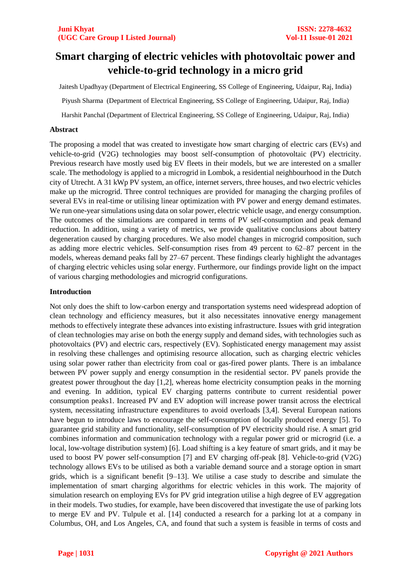# **Smart charging of electric vehicles with photovoltaic power and vehicle-to-grid technology in a micro grid**

Jaitesh Upadhyay (Department of Electrical Engineering, SS College of Engineering, Udaipur, Raj, India)

Piyush Sharma (Department of Electrical Engineering, SS College of Engineering, Udaipur, Raj, India)

Harshit Panchal (Department of Electrical Engineering, SS College of Engineering, Udaipur, Raj, India)

## **Abstract**

The proposing a model that was created to investigate how smart charging of electric cars (EVs) and vehicle-to-grid (V2G) technologies may boost self-consumption of photovoltaic (PV) electricity. Previous research have mostly used big EV fleets in their models, but we are interested on a smaller scale. The methodology is applied to a microgrid in Lombok, a residential neighbourhood in the Dutch city of Utrecht. A 31 kWp PV system, an office, internet servers, three houses, and two electric vehicles make up the microgrid. Three control techniques are provided for managing the charging profiles of several EVs in real-time or utilising linear optimization with PV power and energy demand estimates. We run one-year simulations using data on solar power, electric vehicle usage, and energy consumption. The outcomes of the simulations are compared in terms of PV self-consumption and peak demand reduction. In addition, using a variety of metrics, we provide qualitative conclusions about battery degeneration caused by charging procedures. We also model changes in microgrid composition, such as adding more electric vehicles. Self-consumption rises from 49 percent to 62–87 percent in the models, whereas demand peaks fall by 27–67 percent. These findings clearly highlight the advantages of charging electric vehicles using solar energy. Furthermore, our findings provide light on the impact of various charging methodologies and microgrid configurations.

### **Introduction**

Not only does the shift to low-carbon energy and transportation systems need widespread adoption of clean technology and efficiency measures, but it also necessitates innovative energy management methods to effectively integrate these advances into existing infrastructure. Issues with grid integration of clean technologies may arise on both the energy supply and demand sides, with technologies such as photovoltaics (PV) and electric cars, respectively (EV). Sophisticated energy management may assist in resolving these challenges and optimising resource allocation, such as charging electric vehicles using solar power rather than electricity from coal or gas-fired power plants. There is an imbalance between PV power supply and energy consumption in the residential sector. PV panels provide the greatest power throughout the day [1,2], whereas home electricity consumption peaks in the morning and evening. In addition, typical EV charging patterns contribute to current residential power consumption peaks1. Increased PV and EV adoption will increase power transit across the electrical system, necessitating infrastructure expenditures to avoid overloads [3,4]. Several European nations have begun to introduce laws to encourage the self-consumption of locally produced energy [5]. To guarantee grid stability and functionality, self-consumption of PV electricity should rise. A smart grid combines information and communication technology with a regular power grid or microgrid (i.e. a local, low-voltage distribution system) [6]. Load shifting is a key feature of smart grids, and it may be used to boost PV power self-consumption [7] and EV charging off-peak [8]. Vehicle-to-grid (V2G) technology allows EVs to be utilised as both a variable demand source and a storage option in smart grids, which is a significant benefit [9–13]. We utilise a case study to describe and simulate the implementation of smart charging algorithms for electric vehicles in this work. The majority of simulation research on employing EVs for PV grid integration utilise a high degree of EV aggregation in their models. Two studies, for example, have been discovered that investigate the use of parking lots to merge EV and PV. Tulpule et al. [14] conducted a research for a parking lot at a company in Columbus, OH, and Los Angeles, CA, and found that such a system is feasible in terms of costs and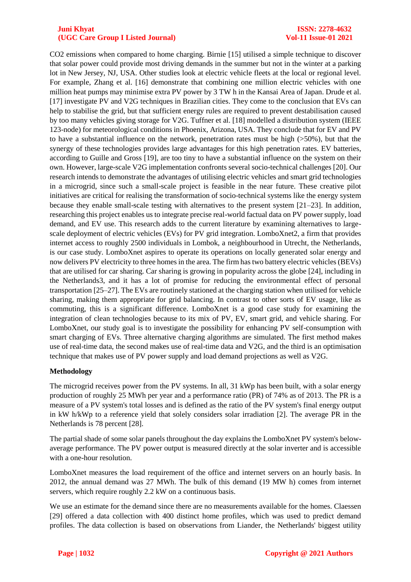#### **Juni Khyat ISSN: 2278-4632 (UGC Care Group I Listed Journal) Vol-11 Issue-01 2021**

CO2 emissions when compared to home charging. Birnie [15] utilised a simple technique to discover that solar power could provide most driving demands in the summer but not in the winter at a parking lot in New Jersey, NJ, USA. Other studies look at electric vehicle fleets at the local or regional level. For example, Zhang et al. [16] demonstrate that combining one million electric vehicles with one million heat pumps may minimise extra PV power by 3 TW h in the Kansai Area of Japan. Drude et al. [17] investigate PV and V2G techniques in Brazilian cities. They come to the conclusion that EVs can help to stabilise the grid, but that sufficient energy rules are required to prevent destabilisation caused by too many vehicles giving storage for V2G. Tuffner et al. [18] modelled a distribution system (IEEE 123-node) for meteorological conditions in Phoenix, Arizona, USA. They conclude that for EV and PV to have a substantial influence on the network, penetration rates must be high (>50%), but that the synergy of these technologies provides large advantages for this high penetration rates. EV batteries, according to Guille and Gross [19], are too tiny to have a substantial influence on the system on their own. However, large-scale V2G implementation confronts several socio-technical challenges [20]. Our research intends to demonstrate the advantages of utilising electric vehicles and smart grid technologies in a microgrid, since such a small-scale project is feasible in the near future. These creative pilot initiatives are critical for realising the transformation of socio-technical systems like the energy system because they enable small-scale testing with alternatives to the present system [21–23]. In addition, researching this project enables us to integrate precise real-world factual data on PV power supply, load demand, and EV use. This research adds to the current literature by examining alternatives to largescale deployment of electric vehicles (EVs) for PV grid integration. LomboXnet2, a firm that provides internet access to roughly 2500 individuals in Lombok, a neighbourhood in Utrecht, the Netherlands, is our case study. LomboXnet aspires to operate its operations on locally generated solar energy and now delivers PV electricity to three homes in the area. The firm has two battery electric vehicles (BEVs) that are utilised for car sharing. Car sharing is growing in popularity across the globe [24], including in the Netherlands3, and it has a lot of promise for reducing the environmental effect of personal transportation [25–27]. The EVs are routinely stationed at the charging station when utilised for vehicle sharing, making them appropriate for grid balancing. In contrast to other sorts of EV usage, like as commuting, this is a significant difference. LomboXnet is a good case study for examining the integration of clean technologies because to its mix of PV, EV, smart grid, and vehicle sharing. For LomboXnet, our study goal is to investigate the possibility for enhancing PV self-consumption with smart charging of EVs. Three alternative charging algorithms are simulated. The first method makes use of real-time data, the second makes use of real-time data and V2G, and the third is an optimisation technique that makes use of PV power supply and load demand projections as well as V2G.

# **Methodology**

The microgrid receives power from the PV systems. In all, 31 kWp has been built, with a solar energy production of roughly 25 MWh per year and a performance ratio (PR) of 74% as of 2013. The PR is a measure of a PV system's total losses and is defined as the ratio of the PV system's final energy output in kW h/kWp to a reference yield that solely considers solar irradiation [2]. The average PR in the Netherlands is 78 percent [28].

The partial shade of some solar panels throughout the day explains the LomboXnet PV system's belowaverage performance. The PV power output is measured directly at the solar inverter and is accessible with a one-hour resolution.

LomboXnet measures the load requirement of the office and internet servers on an hourly basis. In 2012, the annual demand was 27 MWh. The bulk of this demand (19 MW h) comes from internet servers, which require roughly 2.2 kW on a continuous basis.

We use an estimate for the demand since there are no measurements available for the homes. Claessen [29] offered a data collection with 400 distinct home profiles, which was used to predict demand profiles. The data collection is based on observations from Liander, the Netherlands' biggest utility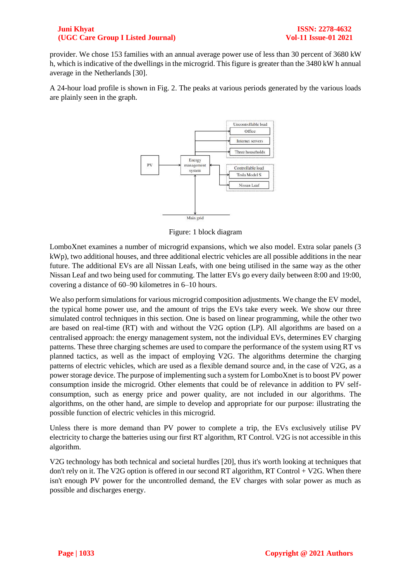### **Juni Khyat ISSN: 2278-4632 (UGC Care Group I Listed Journal) Vol-11 Issue-01 2021**

provider. We chose 153 families with an annual average power use of less than 30 percent of 3680 kW h, which is indicative of the dwellings in the microgrid. This figure is greater than the 3480 kW h annual average in the Netherlands [30].

A 24-hour load profile is shown in Fig. 2. The peaks at various periods generated by the various loads are plainly seen in the graph.



Figure: 1 block diagram

LomboXnet examines a number of microgrid expansions, which we also model. Extra solar panels (3 kWp), two additional houses, and three additional electric vehicles are all possible additions in the near future. The additional EVs are all Nissan Leafs, with one being utilised in the same way as the other Nissan Leaf and two being used for commuting. The latter EVs go every daily between 8:00 and 19:00, covering a distance of 60–90 kilometres in 6–10 hours.

We also perform simulations for various microgrid composition adjustments. We change the EV model, the typical home power use, and the amount of trips the EVs take every week. We show our three simulated control techniques in this section. One is based on linear programming, while the other two are based on real-time (RT) with and without the V2G option (LP). All algorithms are based on a centralised approach: the energy management system, not the individual EVs, determines EV charging patterns. These three charging schemes are used to compare the performance of the system using RT vs planned tactics, as well as the impact of employing V2G. The algorithms determine the charging patterns of electric vehicles, which are used as a flexible demand source and, in the case of V2G, as a power storage device. The purpose of implementing such a system for LomboXnet is to boost PV power consumption inside the microgrid. Other elements that could be of relevance in addition to PV selfconsumption, such as energy price and power quality, are not included in our algorithms. The algorithms, on the other hand, are simple to develop and appropriate for our purpose: illustrating the possible function of electric vehicles in this microgrid.

Unless there is more demand than PV power to complete a trip, the EVs exclusively utilise PV electricity to charge the batteries using our first RT algorithm, RT Control. V2G is not accessible in this algorithm.

V2G technology has both technical and societal hurdles [20], thus it's worth looking at techniques that don't rely on it. The V2G option is offered in our second RT algorithm, RT Control + V2G. When there isn't enough PV power for the uncontrolled demand, the EV charges with solar power as much as possible and discharges energy.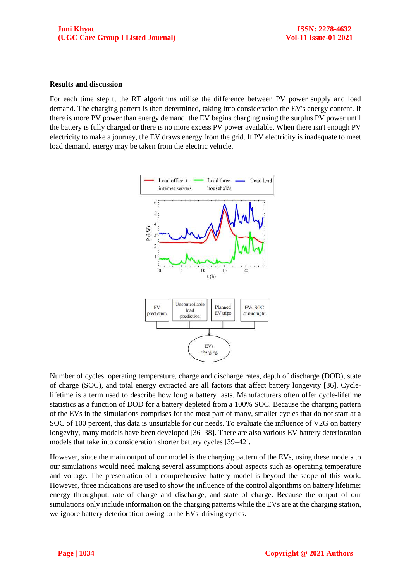#### **Results and discussion**

For each time step t, the RT algorithms utilise the difference between PV power supply and load demand. The charging pattern is then determined, taking into consideration the EV's energy content. If there is more PV power than energy demand, the EV begins charging using the surplus PV power until the battery is fully charged or there is no more excess PV power available. When there isn't enough PV electricity to make a journey, the EV draws energy from the grid. If PV electricity is inadequate to meet load demand, energy may be taken from the electric vehicle.



Number of cycles, operating temperature, charge and discharge rates, depth of discharge (DOD), state of charge (SOC), and total energy extracted are all factors that affect battery longevity [36]. Cyclelifetime is a term used to describe how long a battery lasts. Manufacturers often offer cycle-lifetime statistics as a function of DOD for a battery depleted from a 100% SOC. Because the charging pattern of the EVs in the simulations comprises for the most part of many, smaller cycles that do not start at a SOC of 100 percent, this data is unsuitable for our needs. To evaluate the influence of V2G on battery longevity, many models have been developed [36–38]. There are also various EV battery deterioration models that take into consideration shorter battery cycles [39–42].

However, since the main output of our model is the charging pattern of the EVs, using these models to our simulations would need making several assumptions about aspects such as operating temperature and voltage. The presentation of a comprehensive battery model is beyond the scope of this work. However, three indications are used to show the influence of the control algorithms on battery lifetime: energy throughput, rate of charge and discharge, and state of charge. Because the output of our simulations only include information on the charging patterns while the EVs are at the charging station, we ignore battery deterioration owing to the EVs' driving cycles.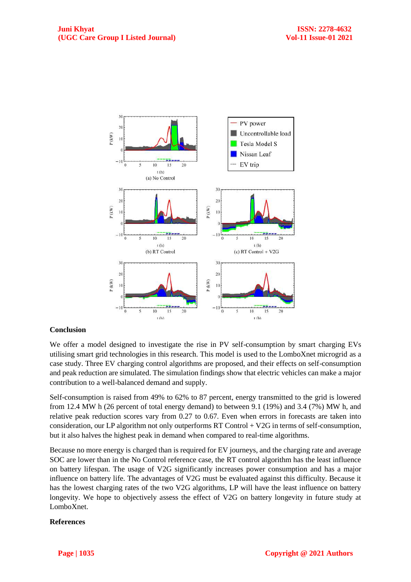

#### **Conclusion**

We offer a model designed to investigate the rise in PV self-consumption by smart charging EVs utilising smart grid technologies in this research. This model is used to the LomboXnet microgrid as a case study. Three EV charging control algorithms are proposed, and their effects on self-consumption and peak reduction are simulated. The simulation findings show that electric vehicles can make a major contribution to a well-balanced demand and supply.

Self-consumption is raised from 49% to 62% to 87 percent, energy transmitted to the grid is lowered from 12.4 MW h (26 percent of total energy demand) to between 9.1 (19%) and 3.4 (7%) MW h, and relative peak reduction scores vary from 0.27 to 0.67. Even when errors in forecasts are taken into consideration, our LP algorithm not only outperforms RT Control + V2G in terms of self-consumption, but it also halves the highest peak in demand when compared to real-time algorithms.

Because no more energy is charged than is required for EV journeys, and the charging rate and average SOC are lower than in the No Control reference case, the RT control algorithm has the least influence on battery lifespan. The usage of V2G significantly increases power consumption and has a major influence on battery life. The advantages of V2G must be evaluated against this difficulty. Because it has the lowest charging rates of the two V2G algorithms, LP will have the least influence on battery longevity. We hope to objectively assess the effect of V2G on battery longevity in future study at LomboXnet.

#### **References**